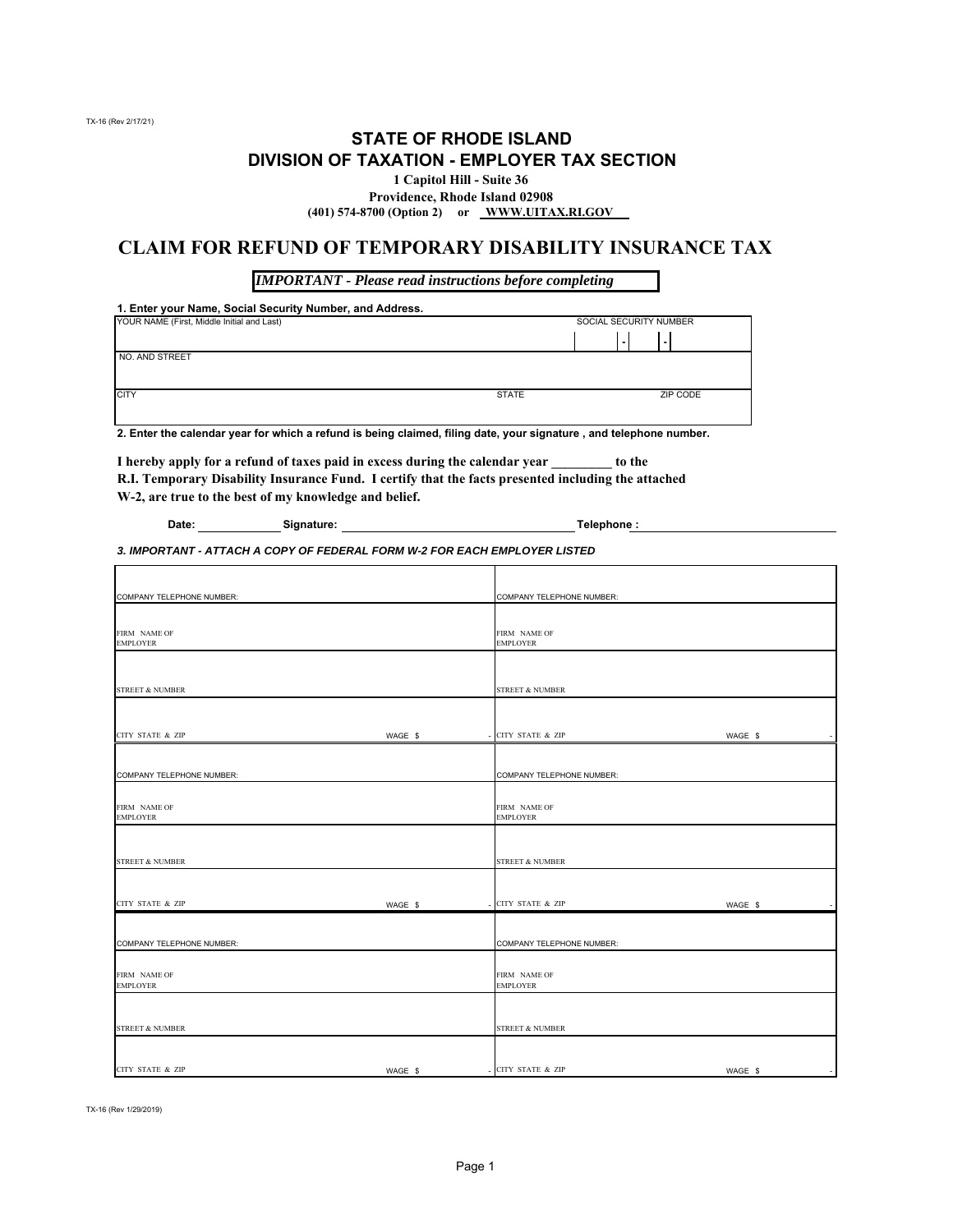TX-16 (Rev 2/17/21)

### **STATE OF RHODE ISLAND DIVISION OF TAXATION - EMPLOYER TAX SECTION**

**1 Capitol Hill - Suite 36**

**Providence, Rhode Island 02908 (401) 574-8700 (Option 2) or WWW.UITAX.RI.GOV** 

#### **CLAIM FOR REFUND OF TEMPORARY DISABILITY INSURANCE TAX**

*IMPORTANT - Please read instructions before completing*

**1. Enter your Name, Social Security Number, and Address.**

| YOUR NAME (First, Middle Initial and Last) |              | SOCIAL SECURITY NUMBER |  |  |
|--------------------------------------------|--------------|------------------------|--|--|
|                                            |              |                        |  |  |
| NO. AND STREET                             |              |                        |  |  |
|                                            |              |                        |  |  |
| <b>CITY</b>                                | <b>STATE</b> | ZIP CODE               |  |  |
|                                            |              |                        |  |  |

**2. Enter the calendar year for which a refund is being claimed, filing date, your signature , and telephone number.**

**I hereby apply for a refund of taxes paid in excess during the calendar year \_\_\_\_\_\_\_\_\_ to the R.I. Temporary Disability Insurance Fund. I certify that the facts presented including the attached W-2, are true to the best of my knowledge and belief.**

| Date: | Signature: | Telephone: |
|-------|------------|------------|
|       |            |            |

*3. IMPORTANT - ATTACH A COPY OF FEDERAL FORM W-2 FOR EACH EMPLOYER LISTED*

| COMPANY TELEPHONE NUMBER:       |         | COMPANY TELEPHONE NUMBER:        |                                     |
|---------------------------------|---------|----------------------------------|-------------------------------------|
| FIRM NAME OF<br><b>EMPLOYER</b> |         | FIRM NAME OF<br><b>EMPLOYER</b>  |                                     |
| <b>STREET &amp; NUMBER</b>      |         | <b>STREET &amp; NUMBER</b>       |                                     |
|                                 |         |                                  |                                     |
| <b>CITY STATE &amp; ZIP</b>     | WAGE \$ | <b>CITY STATE &amp; ZIP</b>      | WAGE \$                             |
| COMPANY TELEPHONE NUMBER:       |         | COMPANY TELEPHONE NUMBER:        |                                     |
| FIRM NAME OF<br><b>EMPLOYER</b> |         | FIRM NAME OF<br><b>EMPLOYER</b>  |                                     |
| <b>STREET &amp; NUMBER</b>      |         | <b>STREET &amp; NUMBER</b>       |                                     |
| <b>CITY STATE &amp; ZIP</b>     | WAGE \$ | CITY STATE & ZIP                 | WAGE \$                             |
|                                 |         |                                  |                                     |
| COMPANY TELEPHONE NUMBER:       |         | <b>COMPANY TELEPHONE NUMBER:</b> |                                     |
| FIRM NAME OF<br><b>EMPLOYER</b> |         | FIRM NAME OF<br><b>EMPLOYER</b>  |                                     |
|                                 |         |                                  |                                     |
| <b>STREET &amp; NUMBER</b>      |         | <b>STREET &amp; NUMBER</b>       |                                     |
|                                 |         |                                  |                                     |
| <b>CITY STATE &amp; ZIP</b>     | WAGE \$ | - CITY STATE & ZIP               | WAGE \$<br>$\overline{\phantom{a}}$ |